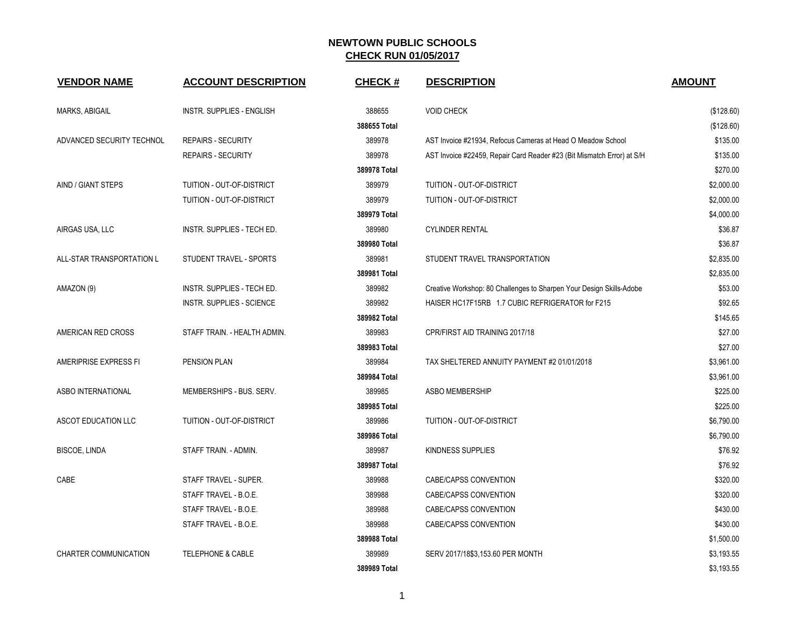## **NEWTOWN PUBLIC SCHOOLS CHECK RUN 01/05/2017**

| <b>VENDOR NAME</b>        | <b>ACCOUNT DESCRIPTION</b>       | <b>CHECK#</b> | <b>DESCRIPTION</b>                                                     | <b>AMOUNT</b> |
|---------------------------|----------------------------------|---------------|------------------------------------------------------------------------|---------------|
| MARKS, ABIGAIL            | <b>INSTR. SUPPLIES - ENGLISH</b> | 388655        | <b>VOID CHECK</b>                                                      | (\$128.60)    |
|                           |                                  | 388655 Total  |                                                                        | (\$128.60)    |
| ADVANCED SECURITY TECHNOL | <b>REPAIRS - SECURITY</b>        | 389978        | AST Invoice #21934, Refocus Cameras at Head O Meadow School            | \$135.00      |
|                           | <b>REPAIRS - SECURITY</b>        | 389978        | AST Invoice #22459, Repair Card Reader #23 (Bit Mismatch Error) at S/H | \$135.00      |
|                           |                                  | 389978 Total  |                                                                        | \$270.00      |
| AIND / GIANT STEPS        | TUITION - OUT-OF-DISTRICT        | 389979        | TUITION - OUT-OF-DISTRICT                                              | \$2,000.00    |
|                           | TUITION - OUT-OF-DISTRICT        | 389979        | TUITION - OUT-OF-DISTRICT                                              | \$2,000.00    |
|                           |                                  | 389979 Total  |                                                                        | \$4,000.00    |
| AIRGAS USA, LLC           | INSTR. SUPPLIES - TECH ED.       | 389980        | <b>CYLINDER RENTAL</b>                                                 | \$36.87       |
|                           |                                  | 389980 Total  |                                                                        | \$36.87       |
| ALL-STAR TRANSPORTATION L | STUDENT TRAVEL - SPORTS          | 389981        | STUDENT TRAVEL TRANSPORTATION                                          | \$2,835.00    |
|                           |                                  | 389981 Total  |                                                                        | \$2,835.00    |
| AMAZON (9)                | INSTR. SUPPLIES - TECH ED.       | 389982        | Creative Workshop: 80 Challenges to Sharpen Your Design Skills-Adobe   | \$53.00       |
|                           | INSTR. SUPPLIES - SCIENCE        | 389982        | HAISER HC17F15RB 1.7 CUBIC REFRIGERATOR for F215                       | \$92.65       |
|                           |                                  | 389982 Total  |                                                                        | \$145.65      |
| AMERICAN RED CROSS        | STAFF TRAIN. - HEALTH ADMIN.     | 389983        | CPR/FIRST AID TRAINING 2017/18                                         | \$27.00       |
|                           |                                  | 389983 Total  |                                                                        | \$27.00       |
| AMERIPRISE EXPRESS FI     | PENSION PLAN                     | 389984        | TAX SHELTERED ANNUITY PAYMENT #2 01/01/2018                            | \$3,961.00    |
|                           |                                  | 389984 Total  |                                                                        | \$3,961.00    |
| ASBO INTERNATIONAL        | MEMBERSHIPS - BUS. SERV.         | 389985        | ASBO MEMBERSHIP                                                        | \$225.00      |
|                           |                                  | 389985 Total  |                                                                        | \$225.00      |
| ASCOT EDUCATION LLC       | TUITION - OUT-OF-DISTRICT        | 389986        | TUITION - OUT-OF-DISTRICT                                              | \$6,790.00    |
|                           |                                  | 389986 Total  |                                                                        | \$6,790.00    |
| <b>BISCOE, LINDA</b>      | STAFF TRAIN. - ADMIN.            | 389987        | KINDNESS SUPPLIES                                                      | \$76.92       |
|                           |                                  | 389987 Total  |                                                                        | \$76.92       |
| CABE                      | STAFF TRAVEL - SUPER.            | 389988        | CABE/CAPSS CONVENTION                                                  | \$320.00      |
|                           | STAFF TRAVEL - B.O.E.            | 389988        | CABE/CAPSS CONVENTION                                                  | \$320.00      |
|                           | STAFF TRAVEL - B.O.E.            | 389988        | CABE/CAPSS CONVENTION                                                  | \$430.00      |
|                           | STAFF TRAVEL - B.O.E.            | 389988        | CABE/CAPSS CONVENTION                                                  | \$430.00      |
|                           |                                  | 389988 Total  |                                                                        | \$1,500.00    |
| CHARTER COMMUNICATION     | TELEPHONE & CABLE                | 389989        | SERV 2017/18\$3,153.60 PER MONTH                                       | \$3,193.55    |
|                           |                                  | 389989 Total  |                                                                        | \$3,193.55    |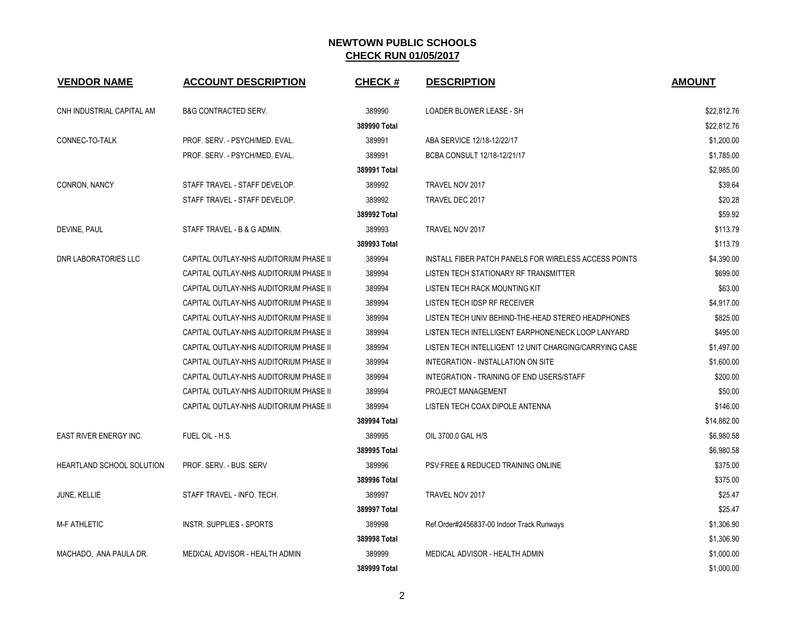## **NEWTOWN PUBLIC SCHOOLS CHECK RUN 01/05/2017**

| <b>VENDOR NAME</b>            | <b>ACCOUNT DESCRIPTION</b>             | <b>CHECK#</b> | <b>DESCRIPTION</b>                                     | <b>AMOUNT</b> |
|-------------------------------|----------------------------------------|---------------|--------------------------------------------------------|---------------|
| CNH INDUSTRIAL CAPITAL AM     | <b>B&amp;G CONTRACTED SERV.</b>        | 389990        | LOADER BLOWER LEASE - SH                               | \$22,812.76   |
|                               |                                        | 389990 Total  |                                                        | \$22,812.76   |
| CONNEC-TO-TALK                | PROF. SERV. - PSYCH/MED. EVAL.         | 389991        | ABA SERVICE 12/18-12/22/17                             | \$1,200.00    |
|                               | PROF. SERV. - PSYCH/MED. EVAL.         | 389991        | BCBA CONSULT 12/18-12/21/17                            | \$1,785.00    |
|                               |                                        | 389991 Total  |                                                        | \$2,985.00    |
| CONRON, NANCY                 | STAFF TRAVEL - STAFF DEVELOP.          | 389992        | TRAVEL NOV 2017                                        | \$39.64       |
|                               | STAFF TRAVEL - STAFF DEVELOP.          | 389992        | TRAVEL DEC 2017                                        | \$20.28       |
|                               |                                        | 389992 Total  |                                                        | \$59.92       |
| DEVINE, PAUL                  | STAFF TRAVEL - B & G ADMIN.            | 389993        | TRAVEL NOV 2017                                        | \$113.79      |
|                               |                                        | 389993 Total  |                                                        | \$113.79      |
| DNR LABORATORIES LLC          | CAPITAL OUTLAY-NHS AUDITORIUM PHASE II | 389994        | INSTALL FIBER PATCH PANELS FOR WIRELESS ACCESS POINTS  | \$4,390.00    |
|                               | CAPITAL OUTLAY-NHS AUDITORIUM PHASE II | 389994        | LISTEN TECH STATIONARY RF TRANSMITTER                  | \$699.00      |
|                               | CAPITAL OUTLAY-NHS AUDITORIUM PHASE II | 389994        | LISTEN TECH RACK MOUNTING KIT                          | \$63.00       |
|                               | CAPITAL OUTLAY-NHS AUDITORIUM PHASE II | 389994        | LISTEN TECH IDSP RF RECEIVER                           | \$4,917.00    |
|                               | CAPITAL OUTLAY-NHS AUDITORIUM PHASE II | 389994        | LISTEN TECH UNIV BEHIND-THE-HEAD STEREO HEADPHONES     | \$825.00      |
|                               | CAPITAL OUTLAY-NHS AUDITORIUM PHASE II | 389994        | LISTEN TECH INTELLIGENT EARPHONE/NECK LOOP LANYARD     | \$495.00      |
|                               | CAPITAL OUTLAY-NHS AUDITORIUM PHASE II | 389994        | LISTEN TECH INTELLIGENT 12 UNIT CHARGING/CARRYING CASE | \$1,497.00    |
|                               | CAPITAL OUTLAY-NHS AUDITORIUM PHASE II | 389994        | INTEGRATION - INSTALLATION ON SITE                     | \$1,600.00    |
|                               | CAPITAL OUTLAY-NHS AUDITORIUM PHASE II | 389994        | INTEGRATION - TRAINING OF END USERS/STAFF              | \$200.00      |
|                               | CAPITAL OUTLAY-NHS AUDITORIUM PHASE II | 389994        | PROJECT MANAGEMENT                                     | \$50.00       |
|                               | CAPITAL OUTLAY-NHS AUDITORIUM PHASE II | 389994        | LISTEN TECH COAX DIPOLE ANTENNA                        | \$146.00      |
|                               |                                        | 389994 Total  |                                                        | \$14,882.00   |
| <b>EAST RIVER ENERGY INC.</b> | FUEL OIL - H.S.                        | 389995        | OIL 3700.0 GAL H/S                                     | \$6,980.58    |
|                               |                                        | 389995 Total  |                                                        | \$6,980.58    |
| HEARTLAND SCHOOL SOLUTION     | PROF. SERV. - BUS. SERV                | 389996        | <b>PSV:FREE &amp; REDUCED TRAINING ONLINE</b>          | \$375.00      |
|                               |                                        | 389996 Total  |                                                        | \$375.00      |
| JUNE, KELLIE                  | STAFF TRAVEL - INFO. TECH.             | 389997        | TRAVEL NOV 2017                                        | \$25.47       |
|                               |                                        | 389997 Total  |                                                        | \$25.47       |
| <b>M-F ATHLETIC</b>           | <b>INSTR. SUPPLIES - SPORTS</b>        | 389998        | Ref.Order#2456837-00 Indoor Track Runways              | \$1,306.90    |
|                               |                                        | 389998 Total  |                                                        | \$1,306.90    |
| MACHADO, ANA PAULA DR.        | MEDICAL ADVISOR - HEALTH ADMIN         | 389999        | MEDICAL ADVISOR - HEALTH ADMIN                         | \$1,000.00    |
|                               |                                        | 389999 Total  |                                                        | \$1,000.00    |